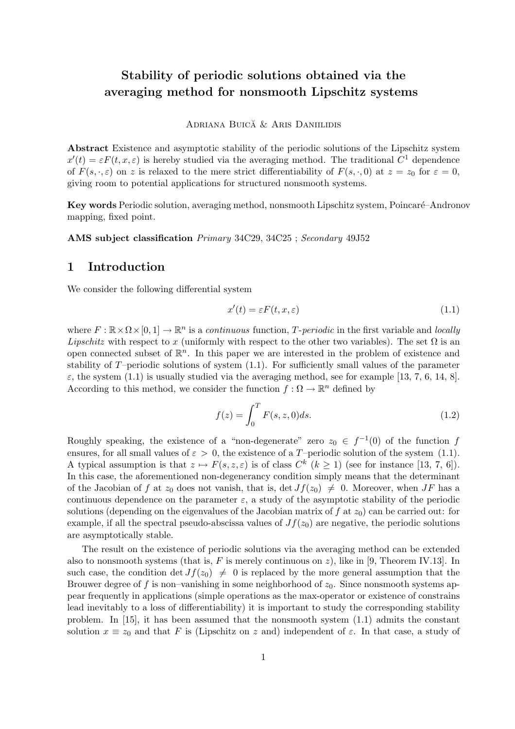# Stability of periodic solutions obtained via the averaging method for nonsmooth Lipschitz systems

#### ADRIANA BUICĂ & ARIS DANIILIDIS

Abstract Existence and asymptotic stability of the periodic solutions of the Lipschitz system  $x'(t) = \varepsilon F(t, x, \varepsilon)$  is hereby studied via the averaging method. The traditional  $C^1$  dependence of  $F(s, \cdot, \varepsilon)$  on z is relaxed to the mere strict differentiability of  $F(s, \cdot, 0)$  at  $z = z_0$  for  $\varepsilon = 0$ , giving room to potential applications for structured nonsmooth systems.

Key words Periodic solution, averaging method, nonsmooth Lipschitz system, Poincaré–Andronov mapping, fixed point.

AMS subject classification Primary 34C29, 34C25 ; Secondary 49J52

# 1 Introduction

We consider the following differential system

$$
x'(t) = \varepsilon F(t, x, \varepsilon) \tag{1.1}
$$

where  $F : \mathbb{R} \times \Omega \times [0, 1] \to \mathbb{R}^n$  is a continuous function, T-periodic in the first variable and locally *Lipschitz* with respect to x (uniformly with respect to the other two variables). The set  $\Omega$  is an open connected subset of  $\mathbb{R}^n$ . In this paper we are interested in the problem of existence and stability of  $T$ –periodic solutions of system  $(1.1)$ . For sufficiently small values of the parameter  $\varepsilon$ , the system (1.1) is usually studied via the averaging method, see for example [13, 7, 6, 14, 8]. According to this method, we consider the function  $f : \Omega \to \mathbb{R}^n$  defined by

$$
f(z) = \int_0^T F(s, z, 0) ds.
$$
 (1.2)

Roughly speaking, the existence of a "non-degenerate" zero  $z_0 \in f^{-1}(0)$  of the function f ensures, for all small values of  $\varepsilon > 0$ , the existence of a T–periodic solution of the system (1.1). A typical assumption is that  $z \mapsto F(s, z, \varepsilon)$  is of class  $C^k$   $(k \ge 1)$  (see for instance [13, 7, 6]). In this case, the aforementioned non-degenerancy condition simply means that the determinant of the Jacobian of f at  $z_0$  does not vanish, that is, det  $Jf(z_0) \neq 0$ . Moreover, when JF has a continuous dependence on the parameter  $\varepsilon$ , a study of the asymptotic stability of the periodic solutions (depending on the eigenvalues of the Jacobian matrix of f at  $z_0$ ) can be carried out: for example, if all the spectral pseudo-abscissa values of  $Jf(z_0)$  are negative, the periodic solutions are asymptotically stable.

The result on the existence of periodic solutions via the averaging method can be extended also to nonsmooth systems (that is, F is merely continuous on  $z$ ), like in [9, Theorem IV.13]. In such case, the condition det  $Jf(z_0) \neq 0$  is replaced by the more general assumption that the Brouwer degree of f is non–vanishing in some neighborhood of  $z_0$ . Since nonsmooth systems appear frequently in applications (simple operations as the max-operator or existence of constrains lead inevitably to a loss of differentiability) it is important to study the corresponding stability problem. In [15], it has been assumed that the nonsmooth system (1.1) admits the constant solution  $x \equiv z_0$  and that F is (Lipschitz on z and) independent of  $\varepsilon$ . In that case, a study of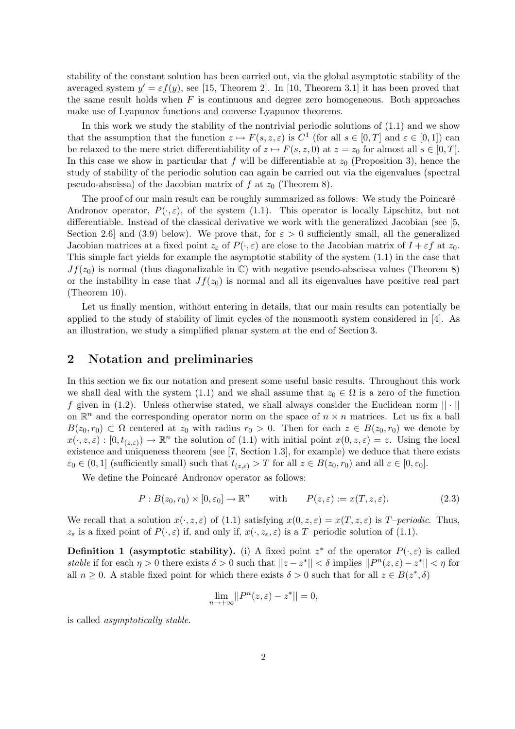stability of the constant solution has been carried out, via the global asymptotic stability of the averaged system  $y' = \varepsilon f(y)$ , see [15, Theorem 2]. In [10, Theorem 3.1] it has been proved that the same result holds when  $F$  is continuous and degree zero homogeneous. Both approaches make use of Lyapunov functions and converse Lyapunov theorems.

In this work we study the stability of the nontrivial periodic solutions of (1.1) and we show that the assumption that the function  $z \mapsto F(s, z, \varepsilon)$  is  $C^1$  (for all  $s \in [0, T]$  and  $\varepsilon \in [0, 1]$ ) can be relaxed to the mere strict differentiability of  $z \mapsto F(s, z, 0)$  at  $z = z_0$  for almost all  $s \in [0, T]$ . In this case we show in particular that f will be differentiable at  $z_0$  (Proposition 3), hence the study of stability of the periodic solution can again be carried out via the eigenvalues (spectral pseudo-abscissa) of the Jacobian matrix of f at  $z_0$  (Theorem 8).

The proof of our main result can be roughly summarized as follows: We study the Poincaré– Andronov operator,  $P(\cdot,\varepsilon)$ , of the system (1.1). This operator is locally Lipschitz, but not differentiable. Instead of the classical derivative we work with the generalized Jacobian (see [5, Section 2.6] and (3.9) below). We prove that, for  $\varepsilon > 0$  sufficiently small, all the generalized Jacobian matrices at a fixed point  $z_{\varepsilon}$  of  $P(\cdot,\varepsilon)$  are close to the Jacobian matrix of  $I + \varepsilon f$  at  $z_0$ . This simple fact yields for example the asymptotic stability of the system (1.1) in the case that  $Jf(z_0)$  is normal (thus diagonalizable in  $\mathbb{C}$ ) with negative pseudo-abscissa values (Theorem 8) or the instability in case that  $Jf(z_0)$  is normal and all its eigenvalues have positive real part (Theorem 10).

Let us finally mention, without entering in details, that our main results can potentially be applied to the study of stability of limit cycles of the nonsmooth system considered in [4]. As an illustration, we study a simplified planar system at the end of Section 3.

# 2 Notation and preliminaries

In this section we fix our notation and present some useful basic results. Throughout this work we shall deal with the system (1.1) and we shall assume that  $z_0 \in \Omega$  is a zero of the function f given in (1.2). Unless otherwise stated, we shall always consider the Euclidean norm  $|| \cdot ||$ on  $\mathbb{R}^n$  and the corresponding operator norm on the space of  $n \times n$  matrices. Let us fix a ball  $B(z_0, r_0) \subset \Omega$  centered at  $z_0$  with radius  $r_0 > 0$ . Then for each  $z \in B(z_0, r_0)$  we denote by  $x(\cdot, z, \varepsilon) : [0, t_{(z,\varepsilon)}) \to \mathbb{R}^n$  the solution of (1.1) with initial point  $x(0, z, \varepsilon) = z$ . Using the local existence and uniqueness theorem (see [7, Section 1.3], for example) we deduce that there exists  $\varepsilon_0 \in (0,1]$  (sufficiently small) such that  $t_{(z,\varepsilon)} > T$  for all  $z \in B(z_0,r_0)$  and all  $\varepsilon \in [0,\varepsilon_0]$ .

We define the Poincaré–Andronov operator as follows:

$$
P: B(z_0, r_0) \times [0, \varepsilon_0] \to \mathbb{R}^n \qquad \text{with} \qquad P(z, \varepsilon) := x(T, z, \varepsilon). \tag{2.3}
$$

We recall that a solution  $x(\cdot, z, \varepsilon)$  of (1.1) satisfying  $x(0, z, \varepsilon) = x(T, z, \varepsilon)$  is T-periodic. Thus,  $z_{\varepsilon}$  is a fixed point of  $P(\cdot,\varepsilon)$  if, and only if,  $x(\cdot,z_{\varepsilon},\varepsilon)$  is a T-periodic solution of (1.1).

**Definition 1 (asymptotic stability).** (i) A fixed point  $z^*$  of the operator  $P(\cdot,\varepsilon)$  is called stable if for each  $\eta > 0$  there exists  $\delta > 0$  such that  $||z - z^*|| < \delta$  implies  $||P^n(z, \varepsilon) - z^*|| < \eta$  for all  $n \geq 0$ . A stable fixed point for which there exists  $\delta > 0$  such that for all  $z \in B(z^*, \delta)$ 

$$
\lim_{n \to +\infty} ||P^n(z, \varepsilon) - z^*|| = 0,
$$

is called asymptotically stable.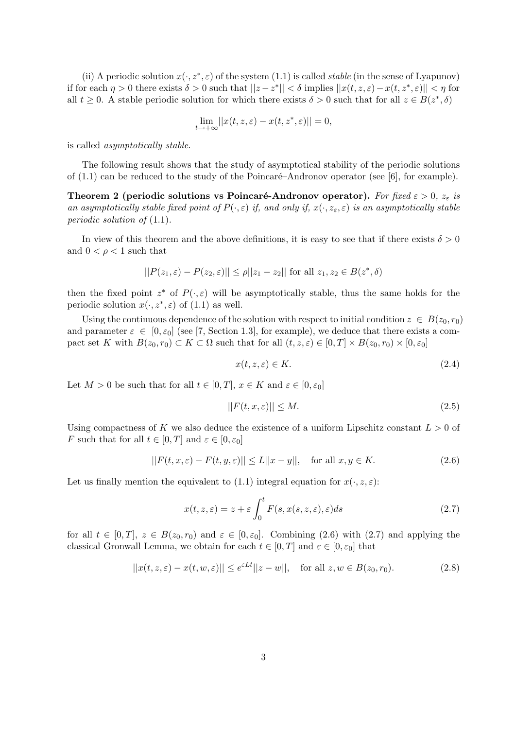(ii) A periodic solution  $x(\cdot, z^*, \varepsilon)$  of the system (1.1) is called *stable* (in the sense of Lyapunov) if for each  $\eta > 0$  there exists  $\delta > 0$  such that  $||z - z^*|| < \delta$  implies  $||x(t, z, \varepsilon) - x(t, z^*, \varepsilon)|| < \eta$  for all  $t \geq 0$ . A stable periodic solution for which there exists  $\delta > 0$  such that for all  $z \in B(z^*, \delta)$ 

$$
\lim_{t \to +\infty} ||x(t, z, \varepsilon) - x(t, z^*, \varepsilon)|| = 0,
$$

is called asymptotically stable.

The following result shows that the study of asymptotical stability of the periodic solutions of  $(1.1)$  can be reduced to the study of the Poincaré–Andronov operator (see [6], for example).

Theorem 2 (periodic solutions vs Poincaré-Andronov operator). For fixed  $\varepsilon > 0$ ,  $z_{\varepsilon}$  is an asymptotically stable fixed point of  $P(\cdot,\varepsilon)$  if, and only if,  $x(\cdot,z_{\varepsilon},\varepsilon)$  is an asymptotically stable periodic solution of (1.1).

In view of this theorem and the above definitions, it is easy to see that if there exists  $\delta > 0$ and  $0 < \rho < 1$  such that

$$
||P(z_1, \varepsilon) - P(z_2, \varepsilon)|| \le \rho ||z_1 - z_2|| \text{ for all } z_1, z_2 \in B(z^*, \delta)
$$

then the fixed point  $z^*$  of  $P(\cdot,\varepsilon)$  will be asymptotically stable, thus the same holds for the periodic solution  $x(\cdot, z^*, \varepsilon)$  of  $(1.1)$  as well.

Using the continuous dependence of the solution with respect to initial condition  $z \in B(z_0, r_0)$ and parameter  $\varepsilon \in [0, \varepsilon_0]$  (see [7, Section 1.3], for example), we deduce that there exists a compact set K with  $B(z_0, r_0) \subset K \subset \Omega$  such that for all  $(t, z, \varepsilon) \in [0, T] \times B(z_0, r_0) \times [0, \varepsilon_0]$ 

$$
x(t, z, \varepsilon) \in K. \tag{2.4}
$$

Let  $M > 0$  be such that for all  $t \in [0, T]$ ,  $x \in K$  and  $\varepsilon \in [0, \varepsilon_0]$ 

$$
||F(t, x, \varepsilon)|| \le M. \tag{2.5}
$$

Using compactness of K we also deduce the existence of a uniform Lipschitz constant  $L > 0$  of F such that for all  $t \in [0, T]$  and  $\varepsilon \in [0, \varepsilon_0]$ 

$$
||F(t, x, \varepsilon) - F(t, y, \varepsilon)|| \le L||x - y||, \quad \text{for all } x, y \in K.
$$
 (2.6)

Let us finally mention the equivalent to (1.1) integral equation for  $x(\cdot, z, \varepsilon)$ :

$$
x(t, z, \varepsilon) = z + \varepsilon \int_0^t F(s, x(s, z, \varepsilon), \varepsilon) ds
$$
\n(2.7)

for all  $t \in [0, T]$ ,  $z \in B(z_0, r_0)$  and  $\varepsilon \in [0, \varepsilon_0]$ . Combining (2.6) with (2.7) and applying the classical Gronwall Lemma, we obtain for each  $t \in [0, T]$  and  $\varepsilon \in [0, \varepsilon_0]$  that

$$
||x(t, z, \varepsilon) - x(t, w, \varepsilon)|| \le e^{\varepsilon L t} ||z - w||, \quad \text{for all } z, w \in B(z_0, r_0).
$$
 (2.8)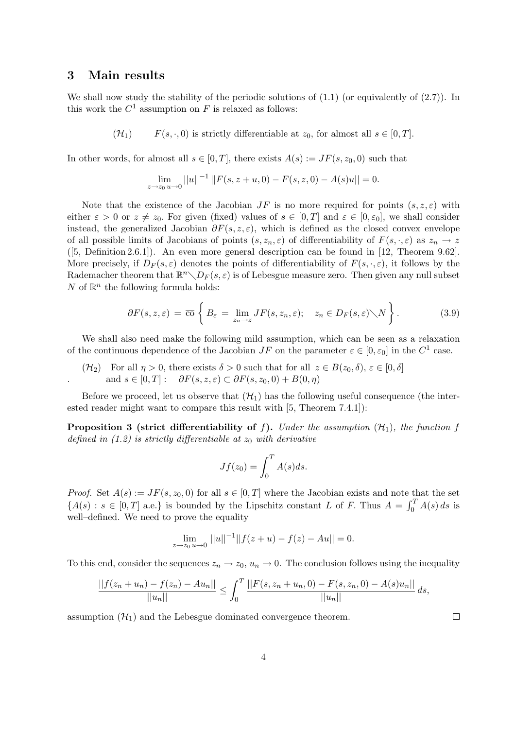## 3 Main results

We shall now study the stability of the periodic solutions of  $(1.1)$  (or equivalently of  $(2.7)$ ). In this work the  $C^1$  assumption on F is relaxed as follows:

 $(F(4))$  F(s, ·, 0) is strictly differentiable at  $z_0$ , for almost all  $s \in [0, T]$ .

In other words, for almost all  $s \in [0, T]$ , there exists  $A(s) := JF(s, z_0, 0)$  such that

$$
\lim_{z \to z_0} ||u||^{-1} ||F(s, z + u, 0) - F(s, z, 0) - A(s)u|| = 0.
$$

Note that the existence of the Jacobian  $JF$  is no more required for points  $(s, z, \varepsilon)$  with either  $\varepsilon > 0$  or  $z \neq z_0$ . For given (fixed) values of  $s \in [0, T]$  and  $\varepsilon \in [0, \varepsilon_0]$ , we shall consider instead, the generalized Jacobian  $\partial F(s, z, \varepsilon)$ , which is defined as the closed convex envelope of all possible limits of Jacobians of points  $(s, z_n, \varepsilon)$  of differentiability of  $F(s, \cdot, \varepsilon)$  as  $z_n \to z$ ([5, Definition 2.6.1]). An even more general description can be found in [12, Theorem 9.62]. More precisely, if  $D_F(s,\varepsilon)$  denotes the points of differentiability of  $F(s,\cdot,\varepsilon)$ , it follows by the Rademacher theorem that  $\mathbb{R}^n \diagdown D_F(s, \varepsilon)$  is of Lebesgue measure zero. Then given any null subset N of  $\mathbb{R}^n$  the following formula holds:

$$
\partial F(s, z, \varepsilon) = \overline{\mathrm{co}} \left\{ B_{\varepsilon} = \lim_{z_n \to z} JF(s, z_n, \varepsilon); \quad z_n \in D_F(s, \varepsilon) \setminus N \right\}.
$$
 (3.9)

We shall also need make the following mild assumption, which can be seen as a relaxation of the continuous dependence of the Jacobian  $JF$  on the parameter  $\varepsilon \in [0, \varepsilon_0]$  in the  $C^1$  case.

 $(\mathcal{H}_2)$  For all  $\eta > 0$ , there exists  $\delta > 0$  such that for all  $z \in B(z_0, \delta), \varepsilon \in [0, \delta]$ and  $s \in [0, T]$ :  $\partial F(s, z, \varepsilon) \subset \partial F(s, z_0, 0) + B(0, \eta)$ 

Before we proceed, let us observe that  $(\mathcal{H}_1)$  has the following useful consequence (the interested reader might want to compare this result with [5, Theorem 7.4.1]):

**Proposition 3 (strict differentiability of f).** Under the assumption  $(\mathcal{H}_1)$ , the function f defined in (1.2) is strictly differentiable at  $z_0$  with derivative

$$
Jf(z_0) = \int_0^T A(s)ds.
$$

*Proof.* Set  $A(s) := JF(s, z_0, 0)$  for all  $s \in [0, T]$  where the Jacobian exists and note that the set  ${A(s) : s \in [0, T] \text{ a.e.}}$  is bounded by the Lipschitz constant L of F. Thus  $A = \int_0^T A(s)$ .  $\int_0^1 A(s) ds$  is well–defined. We need to prove the equality

$$
\lim_{z \to z_0} ||u||^{-1}||f(z+u) - f(z) - Au|| = 0.
$$

To this end, consider the sequences  $z_n \to z_0$ ,  $u_n \to 0$ . The conclusion follows using the inequality

$$
\frac{||f(z_n+u_n)-f(z_n)-Au_n||}{||u_n||} \leq \int_0^T \frac{||F(s,z_n+u_n,0)-F(s,z_n,0)-A(s)u_n||}{||u_n||} ds,
$$

assumption  $(\mathcal{H}_1)$  and the Lebesgue dominated convergence theorem.

 $\Box$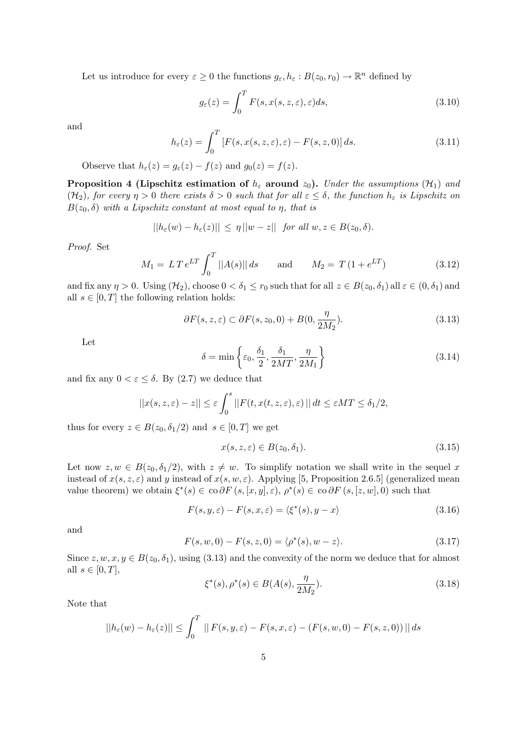Let us introduce for every  $\varepsilon \geq 0$  the functions  $g_{\varepsilon}, h_{\varepsilon}: B(z_0, r_0) \to \mathbb{R}^n$  defined by

$$
g_{\varepsilon}(z) = \int_0^T F(s, x(s, z, \varepsilon), \varepsilon) ds,
$$
\n(3.10)

and

$$
h_{\varepsilon}(z) = \int_0^T \left[ F(s, x(s, z, \varepsilon), \varepsilon) - F(s, z, 0) \right] ds.
$$
 (3.11)

Observe that  $h_{\varepsilon}(z) = g_{\varepsilon}(z) - f(z)$  and  $g_0(z) = f(z)$ .

**Proposition 4 (Lipschitz estimation of**  $h_{\varepsilon}$  around  $z_0$ ). Under the assumptions ( $\mathcal{H}_1$ ) and (H<sub>2</sub>), for every  $\eta > 0$  there exists  $\delta > 0$  such that for all  $\varepsilon \leq \delta$ , the function  $h_{\varepsilon}$  is Lipschitz on  $B(z_0, \delta)$  with a Lipschitz constant at most equal to  $\eta$ , that is

$$
||h_{\varepsilon}(w) - h_{\varepsilon}(z)|| \le \eta ||w - z|| \quad \text{for all } w, z \in B(z_0, \delta).
$$

Proof. Set

$$
M_1 = LT e^{LT} \int_0^T ||A(s)|| ds \quad \text{and} \quad M_2 = T (1 + e^{LT}) \quad (3.12)
$$

and fix any  $\eta > 0$ . Using  $(\mathcal{H}_2)$ , choose  $0 < \delta_1 \le r_0$  such that for all  $z \in B(z_0, \delta_1)$  all  $\varepsilon \in (0, \delta_1)$  and all  $s \in [0, T]$  the following relation holds:

$$
\partial F(s, z, \varepsilon) \subset \partial F(s, z_0, 0) + B(0, \frac{\eta}{2M_2}).
$$
\n(3.13)

Let

$$
\delta = \min\left\{\varepsilon_0, \frac{\delta_1}{2}, \frac{\delta_1}{2MT}, \frac{\eta}{2M_1}\right\} \tag{3.14}
$$

and fix any  $0 < \varepsilon \leq \delta$ . By (2.7) we deduce that

$$
||x(s, z, \varepsilon) - z|| \le \varepsilon \int_0^s ||F(t, x(t, z, \varepsilon), \varepsilon)|| dt \le \varepsilon MT \le \delta_1/2,
$$

thus for every  $z \in B(z_0, \delta_1/2)$  and  $s \in [0, T]$  we get

$$
x(s, z, \varepsilon) \in B(z_0, \delta_1). \tag{3.15}
$$

Let now  $z, w \in B(z_0, \delta_1/2)$ , with  $z \neq w$ . To simplify notation we shall write in the sequel x instead of  $x(s, z, \varepsilon)$  and y instead of  $x(s, w, \varepsilon)$ . Applying [5, Proposition 2.6.5] (generalized mean value theorem) we obtain  $\xi^*(s) \in \text{co }\partial F(s,[x,y],\varepsilon), \rho^*(s) \in \text{co }\partial F(s,[z,w],0)$  such that

$$
F(s, y, \varepsilon) - F(s, x, \varepsilon) = \langle \xi^*(s), y - x \rangle \tag{3.16}
$$

and

$$
F(s, w, 0) - F(s, z, 0) = \langle \rho^*(s), w - z \rangle.
$$
 (3.17)

Since  $z, w, x, y \in B(z_0, \delta_1)$ , using (3.13) and the convexity of the norm we deduce that for almost all  $s \in [0, T]$ ,

$$
\xi^*(s), \rho^*(s) \in B(A(s), \frac{\eta}{2M_2}).
$$
\n(3.18)

Note that

$$
||h_{\varepsilon}(w) - h_{\varepsilon}(z)|| \leq \int_0^T ||F(s, y, \varepsilon) - F(s, x, \varepsilon) - (F(s, w, 0) - F(s, z, 0))|| ds
$$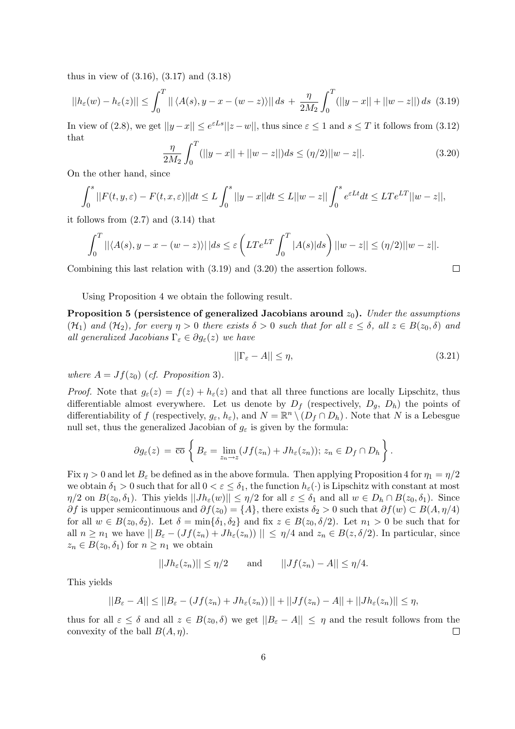thus in view of (3.16), (3.17) and (3.18)

$$
||h_{\varepsilon}(w) - h_{\varepsilon}(z)|| \le \int_0^T || \langle A(s), y - x - (w - z) \rangle || ds + \frac{\eta}{2M_2} \int_0^T (||y - x|| + ||w - z||) ds \tag{3.19}
$$

In view of (2.8), we get  $||y-x|| \le e^{\varepsilon L s} ||z-w||$ , thus since  $\varepsilon \le 1$  and  $s \le T$  it follows from (3.12) that  $\mathbf{r}^T$ 

$$
\frac{\eta}{2M_2} \int_0^T (||y-x|| + ||w-z||)ds \le (\eta/2)||w-z||. \tag{3.20}
$$

On the other hand, since

$$
\int_0^s ||F(t,y,\varepsilon)-F(t,x,\varepsilon)||dt \le L\int_0^s ||y-x||dt \le L||w-z||\int_0^s e^{\varepsilon Lt}dt \le LTe^{LT}||w-z||,
$$

it follows from (2.7) and (3.14) that

$$
\int_0^T ||\langle A(s),y-x-(w-z)\rangle||ds \leq \varepsilon \left( LTe^{LT} \int_0^T |A(s)|ds \right) ||w-z|| \leq (\eta/2) ||w-z||.
$$

Combining this last relation with (3.19) and (3.20) the assertion follows.

Using Proposition 4 we obtain the following result.

Proposition 5 (persistence of generalized Jacobians around  $z_0$ ). Under the assumptions  $(\mathcal{H}_1)$  and  $(\mathcal{H}_2)$ , for every  $\eta > 0$  there exists  $\delta > 0$  such that for all  $\varepsilon \leq \delta$ , all  $z \in B(z_0, \delta)$  and all generalized Jacobians  $\Gamma_{\varepsilon} \in \partial g_{\varepsilon}(z)$  we have

$$
||\Gamma_{\varepsilon} - A|| \le \eta,\tag{3.21}
$$

 $\Box$ 

where  $A = Jf(z_0)$  (cf. Proposition 3).

*Proof.* Note that  $g_{\varepsilon}(z) = f(z) + h_{\varepsilon}(z)$  and that all three functions are locally Lipschitz, thus differentiable almost everywhere. Let us denote by  $D_f$  (respectively,  $D_q$ ,  $D_h$ ) the points of differentiability of f (respectively,  $g_{\varepsilon}, h_{\varepsilon}$ ), and  $N = \mathbb{R}^n \setminus (D_f \cap D_h)$ . Note that N is a Lebesgue null set, thus the generalized Jacobian of  $g_{\varepsilon}$  is given by the formula:

$$
\partial g_{\varepsilon}(z) = \overline{\mathrm{co}} \left\{ B_{\varepsilon} = \lim_{z_n \to z} (Jf(z_n) + Jh_{\varepsilon}(z_n)); \ z_n \in D_f \cap D_h \right\}.
$$

Fix  $\eta > 0$  and let  $B_{\varepsilon}$  be defined as in the above formula. Then applying Proposition 4 for  $\eta_1 = \eta/2$ we obtain  $\delta_1 > 0$  such that for all  $0 < \varepsilon \leq \delta_1$ , the function  $h_{\varepsilon}(\cdot)$  is Lipschitz with constant at most  $\eta/2$  on  $B(z_0, \delta_1)$ . This yields  $||Jh_{\varepsilon}(w)|| \leq \eta/2$  for all  $\varepsilon \leq \delta_1$  and all  $w \in D_h \cap B(z_0, \delta_1)$ . Since  $\partial f$  is upper semicontinuous and  $\partial f(z_0) = \{A\}$ , there exists  $\delta_2 > 0$  such that  $\partial f(w) \subset B(A, \eta/4)$ for all  $w \in B(z_0, \delta_2)$ . Let  $\delta = \min{\{\delta_1, \delta_2\}}$  and fix  $z \in B(z_0, \delta/2)$ . Let  $n_1 > 0$  be such that for all  $n \geq n_1$  we have  $||B_\varepsilon - (Jf(z_n) + Jh_\varepsilon(z_n))|| \leq \eta/4$  and  $z_n \in B(z, \delta/2)$ . In particular, since  $z_n \in B(z_0, \delta_1)$  for  $n \geq n_1$  we obtain

$$
||Jh_{\varepsilon}(z_n)|| \le \eta/2 \quad \text{and} \quad ||Jf(z_n) - A|| \le \eta/4.
$$

This yields

$$
||B_{\varepsilon}-A|| \leq ||B_{\varepsilon}-(Jf(z_n)+Jh_{\varepsilon}(z_n))||+||Jf(z_n)-A||+||Jh_{\varepsilon}(z_n)|| \leq \eta,
$$

thus for all  $\varepsilon \leq \delta$  and all  $z \in B(z_0, \delta)$  we get  $||B_{\varepsilon} - A|| \leq \eta$  and the result follows from the convexity of the ball  $B(A, \eta)$ .  $\Box$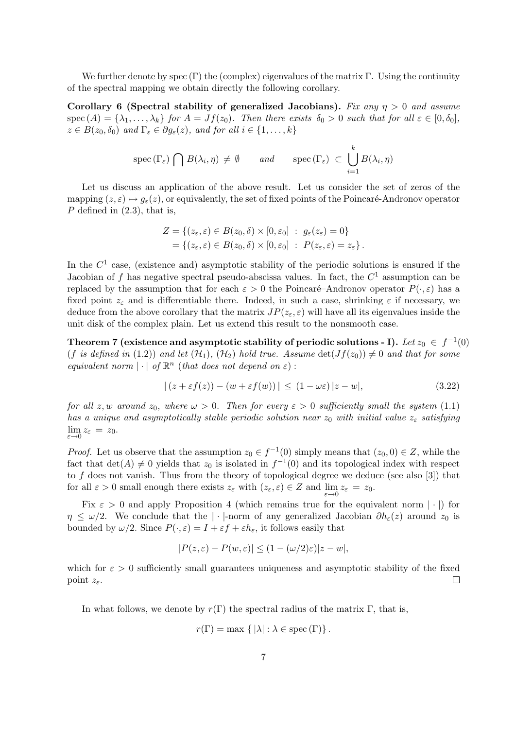We further denote by spec  $(\Gamma)$  the (complex) eigenvalues of the matrix  $\Gamma$ . Using the continuity of the spectral mapping we obtain directly the following corollary.

Corollary 6 (Spectral stability of generalized Jacobians). Fix any  $\eta > 0$  and assume  $\sec(A) = {\lambda_1, \ldots, \lambda_k}$  for  $A = Jf(z_0)$ . Then there exists  $\delta_0 > 0$  such that for all  $\varepsilon \in [0, \delta_0]$ ,  $z \in B(z_0, \delta_0)$  and  $\Gamma_{\varepsilon} \in \partial g_{\varepsilon}(z)$ , and for all  $i \in \{1, \ldots, k\}$ 

$$
\operatorname{spec}(\Gamma_{\varepsilon}) \bigcap B(\lambda_i, \eta) \neq \emptyset \quad \text{and} \quad \operatorname{spec}(\Gamma_{\varepsilon}) \subset \bigcup_{i=1}^k B(\lambda_i, \eta)
$$

Let us discuss an application of the above result. Let us consider the set of zeros of the mapping  $(z, \varepsilon) \mapsto g_{\varepsilon}(z)$ , or equivalently, the set of fixed points of the Poincaré-Andronov operator  $P$  defined in  $(2.3)$ , that is,

$$
Z = \{ (z_{\varepsilon}, \varepsilon) \in B(z_0, \delta) \times [0, \varepsilon_0] : g_{\varepsilon}(z_{\varepsilon}) = 0 \}
$$
  
=  $\{ (z_{\varepsilon}, \varepsilon) \in B(z_0, \delta) \times [0, \varepsilon_0] : P(z_{\varepsilon}, \varepsilon) = z_{\varepsilon} \}$ 

In the  $C<sup>1</sup>$  case, (existence and) asymptotic stability of the periodic solutions is ensured if the Jacobian of f has negative spectral pseudo-abscissa values. In fact, the  $C^1$  assumption can be replaced by the assumption that for each  $\varepsilon > 0$  the Poincaré–Andronov operator  $P(\cdot, \varepsilon)$  has a fixed point  $z_{\varepsilon}$  and is differentiable there. Indeed, in such a case, shrinking  $\varepsilon$  if necessary, we deduce from the above corollary that the matrix  $JP(z_{\varepsilon}, \varepsilon)$  will have all its eigenvalues inside the unit disk of the complex plain. Let us extend this result to the nonsmooth case.

Theorem 7 (existence and asymptotic stability of periodic solutions - I). Let  $z_0\,\in\,f^{-1}(0)$ (f is defined in (1.2)) and let  $(\mathcal{H}_1)$ ,  $(\mathcal{H}_2)$  hold true. Assume  $\det(Jf(z_0)) \neq 0$  and that for some equivalent norm  $|\cdot|$  of  $\mathbb{R}^n$  (that does not depend on  $\varepsilon)$ ):

$$
|(z + \varepsilon f(z)) - (w + \varepsilon f(w))| \le (1 - \omega \varepsilon)|z - w|,
$$
\n(3.22)

for all z, w around  $z_0$ , where  $\omega > 0$ . Then for every  $\varepsilon > 0$  sufficiently small the system (1.1) has a unique and asymptotically stable periodic solution near  $z_0$  with initial value  $z_{\varepsilon}$  satisfying  $\lim_{\varepsilon \to 0} z_{\varepsilon} = z_0.$ 

*Proof.* Let us observe that the assumption  $z_0 \in f^{-1}(0)$  simply means that  $(z_0, 0) \in Z$ , while the fact that  $\det(A) \neq 0$  yields that  $z_0$  is isolated in  $f^{-1}(0)$  and its topological index with respect to  $f$  does not vanish. Thus from the theory of topological degree we deduce (see also  $[3]$ ) that for all  $\varepsilon > 0$  small enough there exists  $z_{\varepsilon}$  with  $(z_{\varepsilon}, \varepsilon) \in Z$  and  $\lim_{\varepsilon \to 0} z_{\varepsilon} = z_0$ .

Fix  $\varepsilon > 0$  and apply Proposition 4 (which remains true for the equivalent norm | · |) for  $\eta \leq \omega/2$ . We conclude that the | · |-norm of any generalized Jacobian  $\partial h_{\varepsilon}(z)$  around  $z_0$  is bounded by  $\omega/2$ . Since  $P(\cdot,\varepsilon) = I + \varepsilon f + \varepsilon h_{\varepsilon}$ , it follows easily that

$$
|P(z,\varepsilon) - P(w,\varepsilon)| \le (1 - (\omega/2)\varepsilon)|z - w|,
$$

which for  $\varepsilon > 0$  sufficiently small guarantees uniqueness and asymptotic stability of the fixed point  $z_{\varepsilon}$ .  $\Box$ 

In what follows, we denote by  $r(\Gamma)$  the spectral radius of the matrix  $\Gamma$ , that is,

 $r(\Gamma) = \max \{ |\lambda| : \lambda \in \text{spec}(\Gamma) \}.$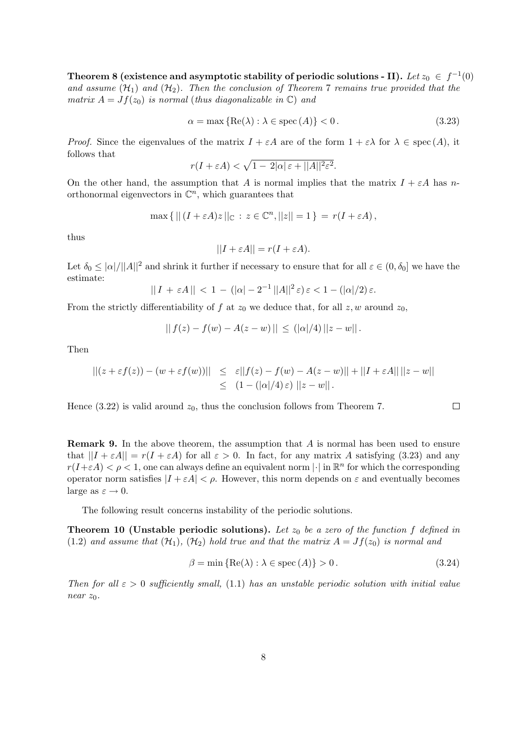Theorem 8 (existence and asymptotic stability of periodic solutions - II). Let  $z_0 \,\in\, f^{-1}(0)$ and assume  $(\mathcal{H}_1)$  and  $(\mathcal{H}_2)$ . Then the conclusion of Theorem 7 remains true provided that the matrix  $A = Jf(z_0)$  is normal (thus diagonalizable in  $\mathbb{C}$ ) and

$$
\alpha = \max\left\{ \text{Re}(\lambda) : \lambda \in \text{spec}\left(A\right) \right\} < 0. \tag{3.23}
$$

*Proof.* Since the eigenvalues of the matrix  $I + \varepsilon A$  are of the form  $1 + \varepsilon \lambda$  for  $\lambda \in \text{spec}(A)$ , it follows that p

$$
r(I + \varepsilon A) < \sqrt{1 - 2|\alpha| \varepsilon + ||A||^2 \varepsilon^2}.
$$

On the other hand, the assumption that A is normal implies that the matrix  $I + \varepsilon A$  has northonormal eigenvectors in  $\mathbb{C}^n$ , which guarantees that

$$
\max\left\{|| (I + \varepsilon A)z||_{\mathbb{C}} : z \in \mathbb{C}^n, ||z|| = 1\right\} = r(I + \varepsilon A),
$$

thus

$$
||I + \varepsilon A|| = r(I + \varepsilon A).
$$

Let  $\delta_0 \leq |\alpha|/||A||^2$  and shrink it further if necessary to ensure that for all  $\varepsilon \in (0, \delta_0]$  we have the estimate:

$$
||I + \varepsilon A|| < 1 - (|\alpha| - 2^{-1} ||A||^2 \varepsilon) \varepsilon < 1 - (|\alpha|/2) \varepsilon.
$$

From the strictly differentiability of f at  $z_0$  we deduce that, for all  $z, w$  around  $z_0$ ,

$$
|| f(z) - f(w) - A(z - w) || \leq (|\alpha|/4) ||z - w||.
$$

Then

$$
||(z + \varepsilon f(z)) - (w + \varepsilon f(w))|| \leq \varepsilon ||f(z) - f(w) - A(z - w)|| + ||I + \varepsilon A|| ||z - w||
$$
  

$$
\leq (1 - (|\alpha|/4) \varepsilon) ||z - w||.
$$

Hence (3.22) is valid around  $z_0$ , thus the conclusion follows from Theorem 7.

**Remark 9.** In the above theorem, the assumption that A is normal has been used to ensure that  $||I + \varepsilon A|| = r(I + \varepsilon A)$  for all  $\varepsilon > 0$ . In fact, for any matrix A satisfying (3.23) and any  $r(I+\varepsilon A) < \rho < 1$ , one can always define an equivalent norm  $|\cdot|$  in  $\mathbb{R}^n$  for which the corresponding operator norm satisfies  $|I + \varepsilon A| < \rho$ . However, this norm depends on  $\varepsilon$  and eventually becomes large as  $\varepsilon \to 0$ .

The following result concerns instability of the periodic solutions.

**Theorem 10 (Unstable periodic solutions).** Let  $z_0$  be a zero of the function f defined in (1.2) and assume that  $(\mathcal{H}_1)$ ,  $(\mathcal{H}_2)$  hold true and that the matrix  $A = Jf(z_0)$  is normal and

$$
\beta = \min \{ \text{Re}(\lambda) : \lambda \in \text{spec}(A) \} > 0. \tag{3.24}
$$

 $\Box$ 

Then for all  $\varepsilon > 0$  sufficiently small, (1.1) has an unstable periodic solution with initial value near  $z_0$ .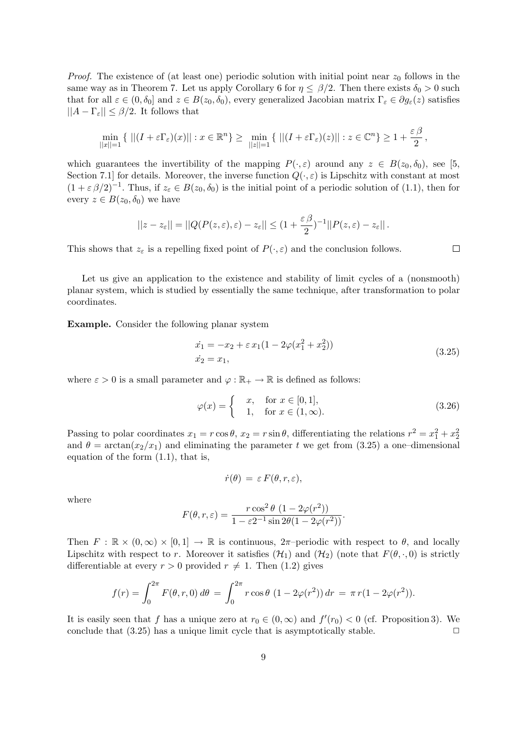*Proof.* The existence of (at least one) periodic solution with initial point near  $z_0$  follows in the same way as in Theorem 7. Let us apply Corollary 6 for  $\eta \leq \beta/2$ . Then there exists  $\delta_0 > 0$  such that for all  $\varepsilon \in (0, \delta_0]$  and  $z \in B(z_0, \delta_0)$ , every generalized Jacobian matrix  $\Gamma_{\varepsilon} \in \partial g_{\varepsilon}(z)$  satisfies  $||A - \Gamma_{\varepsilon}|| \leq \beta/2$ . It follows that

$$
\min_{||x||=1} \{ ||(I + \varepsilon \Gamma_{\varepsilon})(x)|| : x \in \mathbb{R}^n \} \ge \min_{||z||=1} \{ ||(I + \varepsilon \Gamma_{\varepsilon})(z)|| : z \in \mathbb{C}^n \} \ge 1 + \frac{\varepsilon \beta}{2},
$$

which guarantees the invertibility of the mapping  $P(\cdot, \varepsilon)$  around any  $z \in B(z_0, \delta_0)$ , see [5, Section 7.1] for details. Moreover, the inverse function  $Q(\cdot,\varepsilon)$  is Lipschitz with constant at most  $(1 + \varepsilon \beta/2)^{-1}$ . Thus, if  $z_{\varepsilon} \in B(z_0, \delta_0)$  is the initial point of a periodic solution of (1.1), then for every  $z \in B(z_0, \delta_0)$  we have

$$
||z-z_{\varepsilon}||=||Q(P(z,\varepsilon),\varepsilon)-z_{\varepsilon}||\leq (1+\frac{\varepsilon\,\beta}{2})^{-1}||P(z,\varepsilon)-z_{\varepsilon}||.
$$

This shows that  $z_{\varepsilon}$  is a repelling fixed point of  $P(\cdot, \varepsilon)$  and the conclusion follows.

Let us give an application to the existence and stability of limit cycles of a (nonsmooth) planar system, which is studied by essentially the same technique, after transformation to polar coordinates.

Example. Consider the following planar system

$$
\begin{aligned}\n\dot{x}_1 &= -x_2 + \varepsilon \, x_1 (1 - 2\varphi (x_1^2 + x_2^2)) \\
\dot{x}_2 &= x_1,\n\end{aligned} \tag{3.25}
$$

 $\Box$ 

where  $\varepsilon > 0$  is a small parameter and  $\varphi : \mathbb{R}_+ \to \mathbb{R}$  is defined as follows:

$$
\varphi(x) = \begin{cases} x, & \text{for } x \in [0, 1], \\ 1, & \text{for } x \in (1, \infty). \end{cases} \tag{3.26}
$$

Passing to polar coordinates  $x_1 = r \cos \theta$ ,  $x_2 = r \sin \theta$ , differentiating the relations  $r^2 = x_1^2 + x_2^2$ and  $\theta = \arctan(x_2/x_1)$  and eliminating the parameter t we get from (3.25) a one-dimensional equation of the form (1.1), that is,

$$
\dot{r}(\theta) \, = \, \varepsilon \, F(\theta,r,\varepsilon),
$$

where

$$
F(\theta, r, \varepsilon) = \frac{r \cos^2 \theta (1 - 2\varphi(r^2))}{1 - \varepsilon 2^{-1} \sin 2\theta (1 - 2\varphi(r^2))}.
$$

Then  $F : \mathbb{R} \times (0, \infty) \times [0, 1] \to \mathbb{R}$  is continuous,  $2\pi$ -periodic with respect to  $\theta$ , and locally Lipschitz with respect to r. Moreover it satisfies  $(\mathcal{H}_1)$  and  $(\mathcal{H}_2)$  (note that  $F(\theta, \cdot, 0)$ ) is strictly differentiable at every  $r > 0$  provided  $r \neq 1$ . Then (1.2) gives

$$
f(r) = \int_0^{2\pi} F(\theta, r, 0) d\theta = \int_0^{2\pi} r \cos \theta (1 - 2\varphi(r^2)) dr = \pi r (1 - 2\varphi(r^2)).
$$

It is easily seen that f has a unique zero at  $r_0 \in (0, \infty)$  and  $f'(r_0) < 0$  (cf. Proposition 3). We conclude that  $(3.25)$  has a unique limit cycle that is asymptotically stable.  $\Box$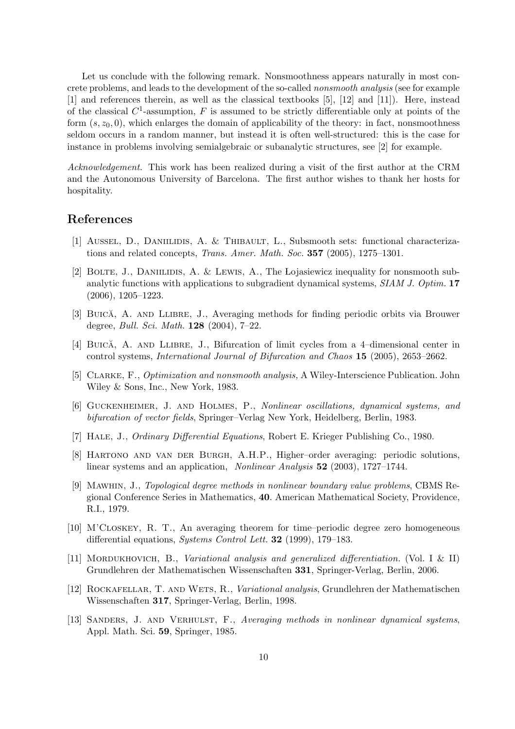Let us conclude with the following remark. Nonsmoothness appears naturally in most concrete problems, and leads to the development of the so-called nonsmooth analysis (see for example [1] and references therein, as well as the classical textbooks [5], [12] and [11]). Here, instead of the classical  $C^1$ -assumption, F is assumed to be strictly differentiable only at points of the form  $(s, z<sub>0</sub>, 0)$ , which enlarges the domain of applicability of the theory: in fact, nonsmoothness seldom occurs in a random manner, but instead it is often well-structured: this is the case for instance in problems involving semialgebraic or subanalytic structures, see [2] for example.

Acknowledgement. This work has been realized during a visit of the first author at the CRM and the Autonomous University of Barcelona. The first author wishes to thank her hosts for hospitality.

## References

- [1] AUSSEL, D., DANIILIDIS, A. & THIBAULT, L., Subsmooth sets: functional characterizations and related concepts, Trans. Amer. Math. Soc. 357 (2005), 1275–1301.
- [2] BOLTE, J., DANIILIDIS, A. & LEWIS, A., The Lojasiewicz inequality for nonsmooth subanalytic functions with applications to subgradient dynamical systems, SIAM J. Optim. 17 (2006), 1205–1223.
- [3] BUICA, A. AND LLIBRE, J., Averaging methods for finding periodic orbits via Brouwer degree, Bull. Sci. Math. 128 (2004), 7–22.
- [4] BUICA, A. AND LLIBRE, J., Bifurcation of limit cycles from a 4-dimensional center in control systems, International Journal of Bifurcation and Chaos 15 (2005), 2653–2662.
- [5] Clarke, F., Optimization and nonsmooth analysis, A Wiley-Interscience Publication. John Wiley & Sons, Inc., New York, 1983.
- [6] Guckenheimer, J. and Holmes, P., Nonlinear oscillations, dynamical systems, and bifurcation of vector fields, Springer–Verlag New York, Heidelberg, Berlin, 1983.
- [7] Hale, J., Ordinary Differential Equations, Robert E. Krieger Publishing Co., 1980.
- [8] Hartono and van der Burgh, A.H.P., Higher–order averaging: periodic solutions, linear systems and an application, Nonlinear Analysis 52 (2003), 1727–1744.
- [9] Mawhin, J., Topological degree methods in nonlinear boundary value problems, CBMS Regional Conference Series in Mathematics, 40. American Mathematical Society, Providence, R.I., 1979.
- [10] M'Closkey, R. T., An averaging theorem for time–periodic degree zero homogeneous differential equations, Systems Control Lett. 32 (1999), 179–183.
- [11] MORDUKHOVICH, B., Variational analysis and generalized differentiation. (Vol. I & II) Grundlehren der Mathematischen Wissenschaften 331, Springer-Verlag, Berlin, 2006.
- [12] ROCKAFELLAR, T. AND WETS, R., Variational analysis, Grundlehren der Mathematischen Wissenschaften 317, Springer-Verlag, Berlin, 1998.
- [13] SANDERS, J. AND VERHULST, F., Averaging methods in nonlinear dynamical systems, Appl. Math. Sci. 59, Springer, 1985.